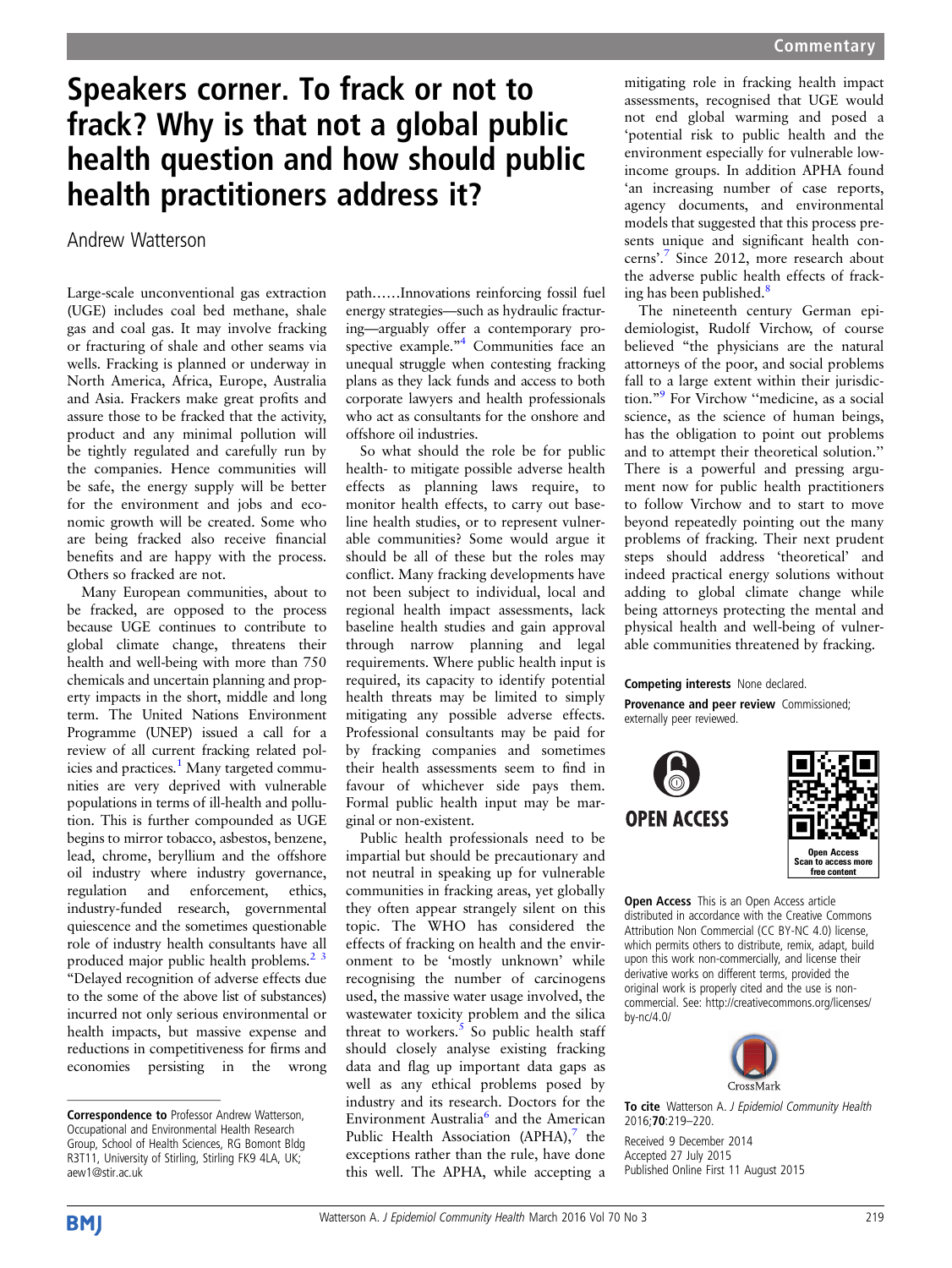## Speakers corner. To frack or not to frack? Why is that not a global public health question and how should public health practitioners address it?

Andrew Watterson

Large-scale unconventional gas extraction (UGE) includes coal bed methane, shale gas and coal gas. It may involve fracking or fracturing of shale and other seams via wells. Fracking is planned or underway in North America, Africa, Europe, Australia and Asia. Frackers make great profits and assure those to be fracked that the activity, product and any minimal pollution will be tightly regulated and carefully run by the companies. Hence communities will be safe, the energy supply will be better for the environment and jobs and economic growth will be created. Some who are being fracked also receive financial benefits and are happy with the process. Others so fracked are not.

Many European communities, about to be fracked, are opposed to the process because UGE continues to contribute to global climate change, threatens their health and well-being with more than 750 chemicals and uncertain planning and property impacts in the short, middle and long term. The United Nations Environment Programme (UNEP) issued a call for a review of all current fracking related pol-icies and practices.<sup>[1](#page-1-0)</sup> Many targeted communities are very deprived with vulnerable populations in terms of ill-health and pollution. This is further compounded as UGE begins to mirror tobacco, asbestos, benzene, lead, chrome, beryllium and the offshore oil industry where industry governance, regulation and enforcement, ethics, industry-funded research, governmental quiescence and the sometimes questionable role of industry health consultants have all produced major public health problems.<sup>2</sup> <sup>3</sup> "Delayed recognition of adverse effects due to the some of the above list of substances) incurred not only serious environmental or health impacts, but massive expense and reductions in competitiveness for firms and economies persisting in the wrong

path……Innovations reinforcing fossil fuel energy strategies—such as hydraulic fracturing—arguably offer a contemporary pro-spective example."<sup>[4](#page-1-0)</sup> Communities face an unequal struggle when contesting fracking plans as they lack funds and access to both corporate lawyers and health professionals who act as consultants for the onshore and offshore oil industries.

So what should the role be for public health- to mitigate possible adverse health effects as planning laws require, to monitor health effects, to carry out baseline health studies, or to represent vulnerable communities? Some would argue it should be all of these but the roles may conflict. Many fracking developments have not been subject to individual, local and regional health impact assessments, lack baseline health studies and gain approval through narrow planning and legal requirements. Where public health input is required, its capacity to identify potential health threats may be limited to simply mitigating any possible adverse effects. Professional consultants may be paid for by fracking companies and sometimes their health assessments seem to find in favour of whichever side pays them. Formal public health input may be marginal or non-existent.

Public health professionals need to be impartial but should be precautionary and not neutral in speaking up for vulnerable communities in fracking areas, yet globally they often appear strangely silent on this topic. The WHO has considered the effects of fracking on health and the environment to be 'mostly unknown' while recognising the number of carcinogens used, the massive water usage involved, the wastewater toxicity problem and the silica threat to workers. $5$  So public health staff should closely analyse existing fracking data and flag up important data gaps as well as any ethical problems posed by industry and its research. Doctors for the Environment Australia<sup>[6](#page-1-0)</sup> and the American Public Health Association  $(APHA)$ , the exceptions rather than the rule, have done this well. The APHA, while accepting a

mitigating role in fracking health impact assessments, recognised that UGE would not end global warming and posed a 'potential risk to public health and the environment especially for vulnerable lowincome groups. In addition APHA found 'an increasing number of case reports, agency documents, and environmental models that suggested that this process presents unique and significant health concerns'. [7](#page-1-0) Since 2012, more research about the adverse public health effects of fracking has been published. $\frac{8}{3}$  $\frac{8}{3}$  $\frac{8}{3}$ 

The nineteenth century German epidemiologist, Rudolf Virchow, of course believed "the physicians are the natural attorneys of the poor, and social problems fall to a large extent within their jurisdiction."[9](#page-1-0) For Virchow ''medicine, as a social science, as the science of human beings, has the obligation to point out problems and to attempt their theoretical solution.'' There is a powerful and pressing argument now for public health practitioners to follow Virchow and to start to move beyond repeatedly pointing out the many problems of fracking. Their next prudent steps should address 'theoretical' and indeed practical energy solutions without adding to global climate change while being attorneys protecting the mental and physical health and well-being of vulnerable communities threatened by fracking.

## Competing interests None declared.

Provenance and peer review Commissioned; externally peer reviewed.



**Open Access** This is an Open Access article distributed in accordance with the Creative Commons Attribution Non Commercial (CC BY-NC 4.0) license, which permits others to distribute, remix, adapt, build upon this work non-commercially, and license their derivative works on different terms, provided the original work is properly cited and the use is noncommercial. See: [http://creativecommons.org/licenses/](http://creativecommons.org/licenses/by-nc/4.0/) [by-nc/4.0/](http://creativecommons.org/licenses/by-nc/4.0/)



To cite Watterson A. J Epidemiol Community Health 2016;70:219–220.

Received 9 December 2014 Accepted 27 July 2015 Published Online First 11 August 2015

Correspondence to Professor Andrew Watterson, Occupational and Environmental Health Research Group, School of Health Sciences, RG Bomont Bldg R3T11, University of Stirling, Stirling FK9 4LA, UK; aew1@stir.ac.uk